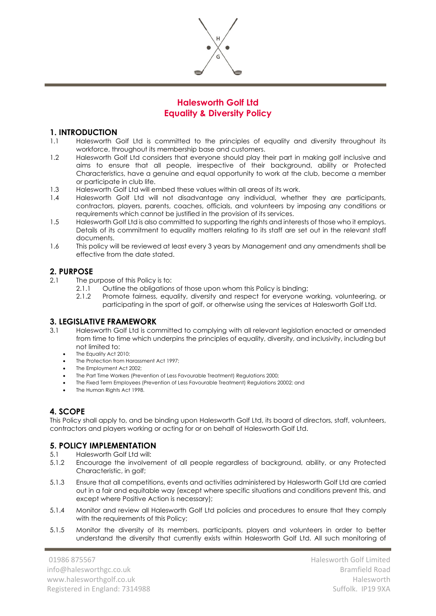

# **Halesworth Golf Ltd Equality & Diversity Policy**

## **1. INTRODUCTION**

- 1.1 Halesworth Golf Ltd is committed to the principles of equality and diversity throughout its workforce, throughout its membership base and customers.
- 1.2 Halesworth Golf Ltd considers that everyone should play their part in making golf inclusive and aims to ensure that all people, irrespective of their background, ability or Protected Characteristics, have a genuine and equal opportunity to work at the club, become a member or participate in club life.
- 1.3 Halesworth Golf Ltd will embed these values within all areas of its work.
- 1.4 Halesworth Golf Ltd will not disadvantage any individual, whether they are participants, contractors, players, parents, coaches, officials, and volunteers by imposing any conditions or requirements which cannot be justified in the provision of its services.
- 1.5 Halesworth Golf Ltd is also committed to supporting the rights and interests of those who it employs. Details of its commitment to equality matters relating to its staff are set out in the relevant staff documents.
- 1.6 This policy will be reviewed at least every 3 years by Management and any amendments shall be effective from the date stated.

# **2. PURPOSE**

- 2.1 The purpose of this Policy is to:
	- 2.1.1 Outline the obligations of those upon whom this Policy is binding;
	- 2.1.2 Promote fairness, equality, diversity and respect for everyone working, volunteering, or participating in the sport of golf, or otherwise using the services at Halesworth Golf Ltd.

# **3. LEGISLATIVE FRAMEWORK**

- 3.1 Halesworth Golf Ltd is committed to complying with all relevant legislation enacted or amended from time to time which underpins the principles of equality, diversity, and inclusivity, including but not limited to:
	- The Equality Act 2010;
	- The Protection from Harassment Act 1997;
	- The Employment Act 2002;
	- The Part Time Workers (Prevention of Less Favourable Treatment) Regulations 2000;
	- The Fixed Term Employees (Prevention of Less Favourable Treatment) Regulations 20002; and
	- The Human Rights Act 1998.

# **4. SCOPE**

This Policy shall apply to, and be binding upon Halesworth Golf Ltd, its board of directors, staff, volunteers, contractors and players working or acting for or on behalf of Halesworth Golf Ltd.

# **5. POLICY IMPLEMENTATION**

- 5.1 Halesworth Golf Ltd will:
- 5.1.2 Encourage the involvement of all people regardless of background, ability, or any Protected Characteristic, in golf;
- 5.1.3 Ensure that all competitions, events and activities administered by Halesworth Golf Ltd are carried out in a fair and equitable way (except where specific situations and conditions prevent this, and except where Positive Action is necessary);
- 5.1.4 Monitor and review all Halesworth Golf Ltd policies and procedures to ensure that they comply with the requirements of this Policy;
- 5.1.5 Monitor the diversity of its members, participants, players and volunteers in order to better understand the diversity that currently exists within Halesworth Golf Ltd. All such monitoring of

01986 875567 info@halesworthgc.co.uk www.halesworthgolf.co.uk Registered in England: 7314988 Halesworth Golf Limited Bramfield Road Halesworth Suffolk. IP19 9XA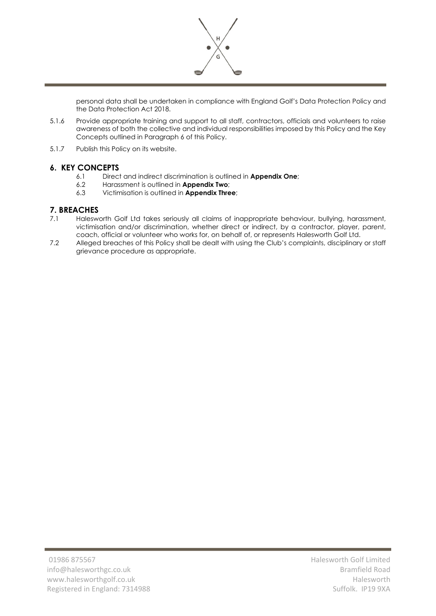

personal data shall be undertaken in compliance with England Golf's Data Protection Policy and the Data Protection Act 2018.

- 5.1.6 Provide appropriate training and support to all staff, contractors, officials and volunteers to raise awareness of both the collective and individual responsibilities imposed by this Policy and the Key Concepts outlined in Paragraph 6 of this Policy.
- 5.1.7 Publish this Policy on its website.

# **6. KEY CONCEPTS**

- 6.1 Direct and indirect discrimination is outlined in **Appendix One**;
- 6.2 Harassment is outlined in **Appendix Two**;
- 6.3 Victimisation is outlined in **Appendix Three**;

# **7. BREACHES**

- 7.1 Halesworth Golf Ltd takes seriously all claims of inappropriate behaviour, bullying, harassment, victimisation and/or discrimination, whether direct or indirect, by a contractor, player, parent, coach, official or volunteer who works for, on behalf of, or represents Halesworth Golf Ltd.
- 7.2 Alleged breaches of this Policy shall be dealt with using the Club's complaints, disciplinary or staff grievance procedure as appropriate.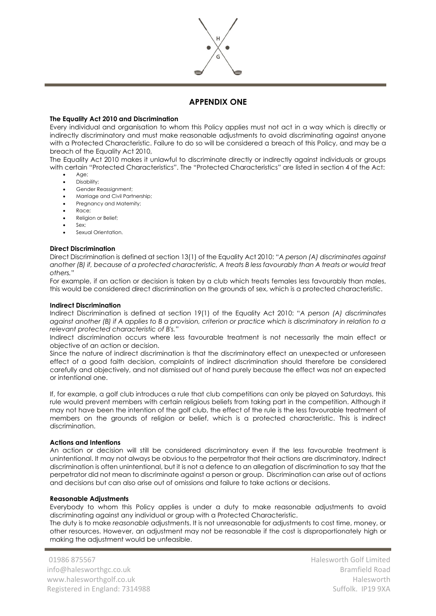

# **APPENDIX ONE**

## **The Equality Act 2010 and Discrimination**

Every individual and organisation to whom this Policy applies must not act in a way which is directly or indirectly discriminatory and must make reasonable adjustments to avoid discriminating against anyone with a Protected Characteristic. Failure to do so will be considered a breach of this Policy, and may be a breach of the Equality Act 2010,

The Equality Act 2010 makes it unlawful to discriminate directly or indirectly against individuals or groups with certain "Protected Characteristics". The "Protected Characteristics" are listed in section 4 of the Act:

- Age: • Disability;
- Gender Reassignment;
- Marriage and Civil Partnership;
- Pregnancy and Maternity;
- Race;
- Religion or Belief;
- Sex:
- Sexual Orientation.

#### **Direct Discrimination**

Direct Discrimination is defined at section 13(1) of the Equality Act 2010: "*A person (A) discriminates against*  another (B) if, because of a protected characteristic, A treats B less favourably than A treats or would treat *others.*"

For example, if an action or decision is taken by a club which treats females less favourably than males, this would be considered direct discrimination on the grounds of sex, which is a protected characteristic.

#### **Indirect Discrimination**

Indirect Discrimination is defined at section 19(1) of the Equality Act 2010: "*A person (A) discriminates against another (B) if A applies to B a provision, criterion or practice which is discriminatory in relation to a relevant protected characteristic of B's.*"

Indirect discrimination occurs where less favourable treatment is not necessarily the main effect or objective of an action or decision.

Since the nature of indirect discrimination is that the discriminatory effect an unexpected or unforeseen effect of a good faith decision, complaints of indirect discrimination should therefore be considered carefully and objectively, and not dismissed out of hand purely because the effect was not an expected or intentional one.

If, for example, a golf club introduces a rule that club competitions can only be played on Saturdays, this rule would prevent members with certain religious beliefs from taking part in the competition. Although it may not have been the intention of the golf club, the effect of the rule is the less favourable treatment of members on the grounds of religion or belief, which is a protected characteristic. This is indirect discrimination.

### **Actions and Intentions**

An action or decision will still be considered discriminatory even if the less favourable treatment is unintentional. It may not always be obvious to the perpetrator that their actions are discriminatory. Indirect discrimination is often unintentional, but it is not a defence to an allegation of discrimination to say that the perpetrator did not mean to discriminate against a person or group. Discrimination can arise out of actions and decisions but can also arise out of omissions and failure to take actions or decisions.

#### **Reasonable Adjustments**

Everybody to whom this Policy applies is under a duty to make reasonable adjustments to avoid discriminating against any individual or group with a Protected Characteristic.

The duty is to make *reasonable* adjustments. It is not unreasonable for adjustments to cost time, money, or other resources. However, an adjustment may not be reasonable if the cost is disproportionately high or making the adjustment would be unfeasible.

01986 875567 info@halesworthgc.co.uk www.halesworthgolf.co.uk Registered in England: 7314988 Halesworth Golf Limited Bramfield Road Halesworth Suffolk. IP19 9XA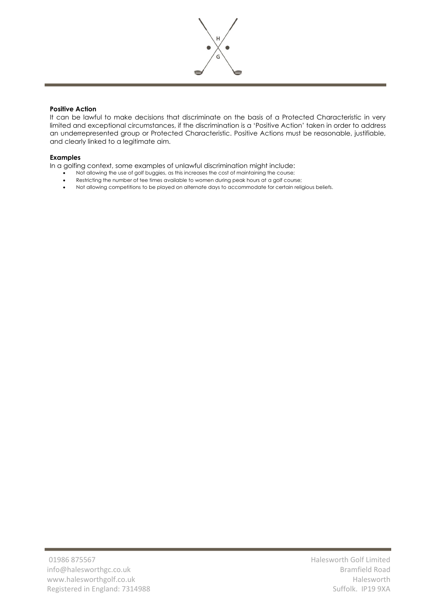

## **Positive Action**

It can be lawful to make decisions that discriminate on the basis of a Protected Characteristic in very limited and exceptional circumstances, if the discrimination is a 'Positive Action' taken in order to address an underrepresented group or Protected Characteristic. Positive Actions must be reasonable, justifiable, and clearly linked to a legitimate aim.

### **Examples**

In a golfing context, some examples of unlawful discrimination might include:

- Not allowing the use of golf buggies, as this increases the cost of maintaining the course;
- Restricting the number of tee times available to women during peak hours at a golf course;
- Not allowing competitions to be played on alternate days to accommodate for certain religious beliefs.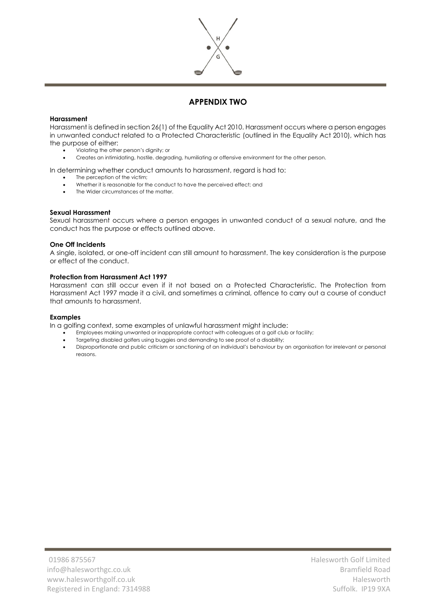

# **APPENDIX TWO**

#### **Harassment**

Harassment is defined in section 26(1) of the Equality Act 2010. Harassment occurs where a person engages in unwanted conduct related to a Protected Characteristic (outlined in the Equality Act 2010), which has the purpose of either:

- Violating the other person's dignity; or
- Creates an intimidating, hostile, degrading, humiliating or offensive environment for the other person.

In determining whether conduct amounts to harassment, regard is had to:

- The perception of the victim:
- Whether it is reasonable for the conduct to have the perceived effect; and
- The Wider circumstances of the matter.

### **Sexual Harassment**

Sexual harassment occurs where a person engages in unwanted conduct of a sexual nature, and the conduct has the purpose or effects outlined above.

#### **One Off Incidents**

A single, isolated, or one-off incident can still amount to harassment. The key consideration is the purpose or effect of the conduct.

#### **Protection from Harassment Act 1997**

Harassment can still occur even if it not based on a Protected Characteristic. The Protection from Harassment Act 1997 made it a civil, and sometimes a criminal, offence to carry out a course of conduct that amounts to harassment.

#### **Examples**

In a golfing context, some examples of unlawful harassment might include:

- Employees making unwanted or inappropriate contact with colleagues at a golf club or facility;
- Targeting disabled golfers using buggies and demanding to see proof of a disability;
- Disproportionate and public criticism or sanctioning of an individual's behaviour by an organisation for irrelevant or personal reasons.

Halesworth Golf Limited Bramfield Road Halesworth Suffolk. IP19 9XA